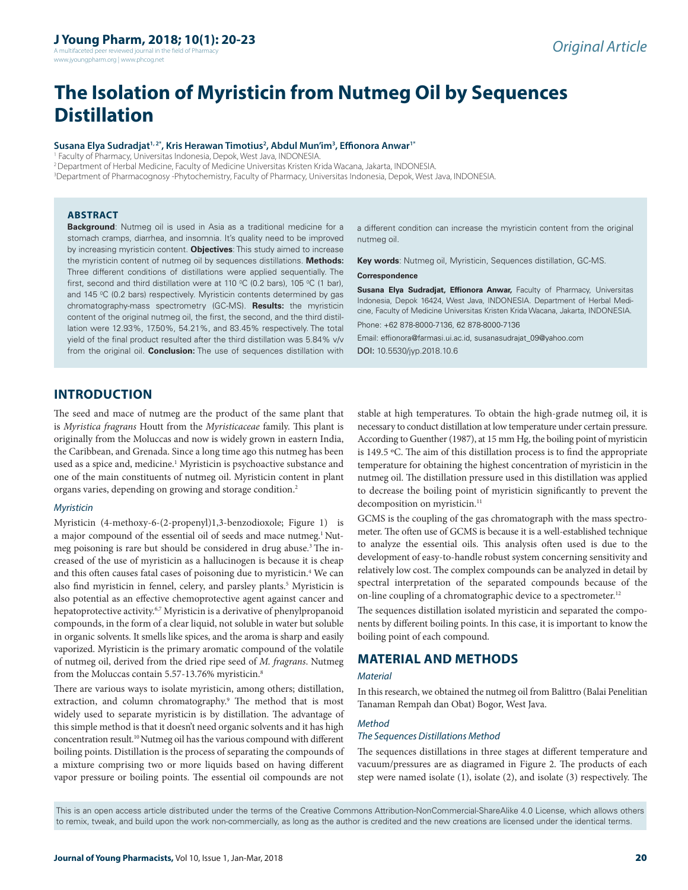A multifaceted peer reviewed journal in the field of Pharma www.jyoungpharm.org | www.phcog.net

# **The Isolation of Myristicin from Nutmeg Oil by Sequences Distillation**

#### **Susana Elya Sudradjat1, 2\*, Kris Herawan Timotius2 , Abdul Mun'im3 , Effionora Anwar1\***

<sup>1</sup> Faculty of Pharmacy, Universitas Indonesia, Depok, West Java, INDONESIA.

2 Department of Herbal Medicine, Faculty of Medicine Universitas Kristen Krida Wacana, Jakarta, INDONESIA. 3 Department of Pharmacognosy -Phytochemistry, Faculty of Pharmacy, Universitas Indonesia, Depok, West Java, INDONESIA.

#### **ABSTRACT**

**Background**: Nutmeg oil is used in Asia as a traditional medicine for a stomach cramps, diarrhea, and insomnia. It's quality need to be improved by increasing myristicin content. **Objectives**: This study aimed to increase the myristicin content of nutmeg oil by sequences distillations. **Methods:**  Three different conditions of distillations were applied sequentially. The first, second and third distillation were at 110  $^{\circ}$ C (0.2 bars), 105  $^{\circ}$ C (1 bar), and 145 °C (0.2 bars) respectively. Myristicin contents determined by gas chromatography-mass spectrometry (GC-MS). **Results:** the myristicin content of the original nutmeg oil, the first, the second, and the third distillation were 12.93%, 17.50%, 54.21%, and 83.45% respectively. The total yield of the final product resulted after the third distillation was 5.84% v/v from the original oil. **Conclusion:** The use of sequences distillation with

a different condition can increase the myristicin content from the original nutmeg oil.

**Key words**: Nutmeg oil, Myristicin, Sequences distillation, GC-MS.

**Correspondence**

Susana Elya Sudradjat, Effionora Anwar, Faculty of Pharmacy, Universitas Indonesia, Depok 16424, West Java, INDONESIA. Department of Herbal Medicine, Faculty of Medicine Universitas Kristen Krida Wacana, Jakarta, INDONESIA.

Phone: +62 878-8000-7136, 62 878-8000-7136

Email: effionora@farmasi.ui.ac.id, susanasudrajat\_09@yahoo.com DOI: 10.5530/jyp.2018.10.6

# **INTRODUCTION**

The seed and mace of nutmeg are the product of the same plant that is *Myristica fragrans* Houtt from the *Myristicaceae* family. This plant is originally from the Moluccas and now is widely grown in eastern India, the Caribbean, and Grenada. Since a long time ago this nutmeg has been used as a spice and, medicine.<sup>1</sup> Myristicin is psychoactive substance and one of the main constituents of nutmeg oil. Myristicin content in plant organs varies, depending on growing and storage condition.2

#### *Myristicin*

Myristicin (4-methoxy-6-(2-propenyl)1,3-benzodioxole; Figure 1) is a major compound of the essential oil of seeds and mace nutmeg.<sup>1</sup> Nutmeg poisoning is rare but should be considered in drug abuse.<sup>3</sup> The increased of the use of myristicin as a hallucinogen is because it is cheap and this often causes fatal cases of poisoning due to myristicin.4 We can also find myristicin in fennel, celery, and parsley plants.<sup>5</sup> Myristicin is also potential as an effective chemoprotective agent against cancer and hepatoprotective activity.<sup>6,7</sup> Myristicin is a derivative of phenylpropanoid compounds, in the form of a clear liquid, not soluble in water but soluble in organic solvents. It smells like spices, and the aroma is sharp and easily vaporized. Myristicin is the primary aromatic compound of the volatile of nutmeg oil, derived from the dried ripe seed of *M. fragrans*. Nutmeg from the Moluccas contain 5.57-13.76% myristicin.<sup>8</sup>

There are various ways to isolate myristicin, among others; distillation, extraction, and column chromatography.<sup>9</sup> The method that is most widely used to separate myristicin is by distillation. The advantage of this simple method is that it doesn't need organic solvents and it has high concentration result.10 Nutmeg oil has the various compound with different boiling points. Distillation is the process of separating the compounds of a mixture comprising two or more liquids based on having different vapor pressure or boiling points. The essential oil compounds are not

stable at high temperatures. To obtain the high-grade nutmeg oil, it is necessary to conduct distillation at low temperature under certain pressure. According to Guenther (1987), at 15 mm Hg, the boiling point of myristicin is 149.5 ºC. The aim of this distillation process is to find the appropriate temperature for obtaining the highest concentration of myristicin in the nutmeg oil. The distillation pressure used in this distillation was applied to decrease the boiling point of myristicin significantly to prevent the decomposition on myristicin.<sup>11</sup>

GCMS is the coupling of the gas chromatograph with the mass spectrometer. The often use of GCMS is because it is a well-established technique to analyze the essential oils. This analysis often used is due to the development of easy-to-handle robust system concerning sensitivity and relatively low cost. The complex compounds can be analyzed in detail by spectral interpretation of the separated compounds because of the on-line coupling of a chromatographic device to a spectrometer.<sup>12</sup>

The sequences distillation isolated myristicin and separated the components by different boiling points. In this case, it is important to know the boiling point of each compound.

## **MATERIAL AND METHODS**

#### *Material*

In this research, we obtained the nutmeg oil from Balittro (Balai Penelitian Tanaman Rempah dan Obat) Bogor, West Java.

#### *Method*

#### *The Sequences Distillations Method*

The sequences distillations in three stages at different temperature and vacuum/pressures are as diagramed in Figure 2. The products of each step were named isolate (1), isolate (2), and isolate (3) respectively. The

This is an open access article distributed under the terms of the Creative Commons Attribution-NonCommercial-ShareAlike 4.0 License, which allows others to remix, tweak, and build upon the work non-commercially, as long as the author is credited and the new creations are licensed under the identical terms.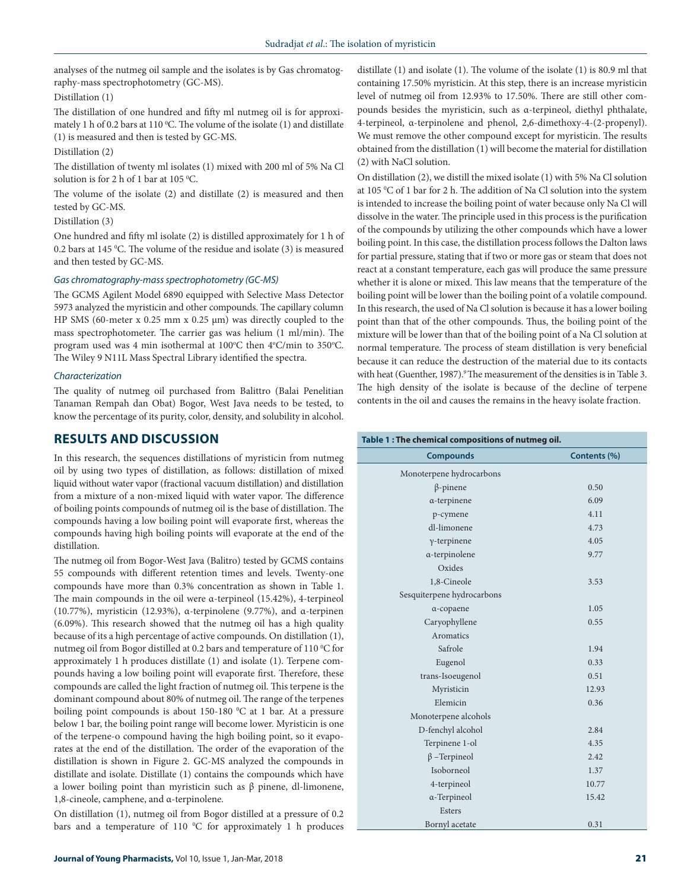analyses of the nutmeg oil sample and the isolates is by Gas chromatography-mass spectrophotometry (GC-MS).

#### Distillation (1)

The distillation of one hundred and fifty ml nutmeg oil is for approximately 1 h of 0.2 bars at 110 °C. The volume of the isolate  $(1)$  and distillate (1) is measured and then is tested by GC-MS.

#### Distillation (2)

The distillation of twenty ml isolates (1) mixed with 200 ml of 5% Na Cl solution is for 2 h of 1 bar at  $105^{\circ}$ C.

The volume of the isolate (2) and distillate (2) is measured and then tested by GC-MS.

#### Distillation (3)

One hundred and fifty ml isolate (2) is distilled approximately for 1 h of 0.2 bars at  $145 \degree$ C. The volume of the residue and isolate (3) is measured and then tested by GC-MS.

#### *Gas chromatography-mass spectrophotometry (GC-MS)*

The GCMS Agilent Model 6890 equipped with Selective Mass Detector 5973 analyzed the myristicin and other compounds. The capillary column HP SMS (60-meter x 0.25 mm x 0.25 µm) was directly coupled to the mass spectrophotometer. The carrier gas was helium (1 ml/min). The program used was 4 min isothermal at 100°C then 4°C/min to 350°C. The Wiley 9 N11L Mass Spectral Library identified the spectra.

#### *Characterization*

The quality of nutmeg oil purchased from Balittro (Balai Penelitian Tanaman Rempah dan Obat) Bogor, West Java needs to be tested, to know the percentage of its purity, color, density, and solubility in alcohol.

# **RESULTS AND DISCUSSION**

In this research, the sequences distillations of myristicin from nutmeg oil by using two types of distillation, as follows: distillation of mixed liquid without water vapor (fractional vacuum distillation) and distillation from a mixture of a non-mixed liquid with water vapor. The difference of boiling points compounds of nutmeg oil is the base of distillation. The compounds having a low boiling point will evaporate first, whereas the compounds having high boiling points will evaporate at the end of the distillation.

The nutmeg oil from Bogor-West Java (Balitro) tested by GCMS contains 55 compounds with different retention times and levels. Twenty-one compounds have more than 0.3% concentration as shown in Table 1. The main compounds in the oil were α-terpineol (15.42%), 4-terpineol (10.77%), myristicin (12.93%), α-terpinolene (9.77%), and α-terpinen (6.09%). This research showed that the nutmeg oil has a high quality because of its a high percentage of active compounds. On distillation (1), nutmeg oil from Bogor distilled at 0.2 bars and temperature of  $110\,^{\circ}\mathrm{C}$  for approximately 1 h produces distillate (1) and isolate (1). Terpene compounds having a low boiling point will evaporate first. Therefore, these compounds are called the light fraction of nutmeg oil. This terpene is the dominant compound about 80% of nutmeg oil. The range of the terpenes boiling point compounds is about 150-180 °C at 1 bar. At a pressure below 1 bar, the boiling point range will become lower. Myristicin is one of the terpene-o compound having the high boiling point, so it evaporates at the end of the distillation. The order of the evaporation of the distillation is shown in Figure 2. GC-MS analyzed the compounds in distillate and isolate. Distillate (1) contains the compounds which have a lower boiling point than myristicin such as β pinene, dl-limonene, 1,8-cineole, camphene, and α-terpinolene.

On distillation (1), nutmeg oil from Bogor distilled at a pressure of 0.2 bars and a temperature of  $110\text{ °C}$  for approximately 1 h produces distillate (1) and isolate (1). The volume of the isolate (1) is 80.9 ml that containing 17.50% myristicin. At this step, there is an increase myristicin level of nutmeg oil from 12.93% to 17.50%. There are still other compounds besides the myristicin, such as α-terpineol, diethyl phthalate, 4-terpineol, α-terpinolene and phenol, 2,6-dimethoxy-4-(2-propenyl). We must remove the other compound except for myristicin. The results obtained from the distillation (1) will become the material for distillation (2) with NaCl solution.

On distillation (2), we distill the mixed isolate (1) with 5% Na Cl solution at 105 °C of 1 bar for 2 h. The addition of Na Cl solution into the system is intended to increase the boiling point of water because only Na Cl will dissolve in the water. The principle used in this process is the purification of the compounds by utilizing the other compounds which have a lower boiling point. In this case, the distillation process follows the Dalton laws for partial pressure, stating that if two or more gas or steam that does not react at a constant temperature, each gas will produce the same pressure whether it is alone or mixed. This law means that the temperature of the boiling point will be lower than the boiling point of a volatile compound. In this research, the used of Na Cl solution is because it has a lower boiling point than that of the other compounds. Thus, the boiling point of the mixture will be lower than that of the boiling point of a Na Cl solution at normal temperature. The process of steam distillation is very beneficial because it can reduce the destruction of the material due to its contacts with heat (Guenther, 1987).<sup>9</sup> The measurement of the densities is in Table 3. The high density of the isolate is because of the decline of terpene contents in the oil and causes the remains in the heavy isolate fraction.

#### **Table 1 : The chemical compositions of nutmeg oil.**

| <b>Compounds</b>           | Contents (%) |
|----------------------------|--------------|
| Monoterpene hydrocarbons   |              |
| $\beta$ -pinene            | 0.50         |
| a-terpinene                | 6.09         |
| p-cymene                   | 4.11         |
| dl-limonene                | 4.73         |
| $\gamma$ -terpinene        | 4.05         |
| a-terpinolene              | 9.77         |
| Oxides                     |              |
| 1,8-Cineole                | 3.53         |
| Sesquiterpene hydrocarbons |              |
| α-copaene                  | 1.05         |
| Caryophyllene              | 0.55         |
| Aromatics                  |              |
| Safrole                    | 1.94         |
| Eugenol                    | 0.33         |
| trans-Isoeugenol           | 0.51         |
| Myristicin                 | 12.93        |
| Elemicin                   | 0.36         |
| Monoterpene alcohols       |              |
| D-fenchyl alcohol          | 2.84         |
| Terpinene 1-ol             | 4.35         |
| $\beta$ –Terpineol         | 2.42         |
| Isoborneol                 | 1.37         |
| 4-terpineol                | 10.77        |
| α-Terpineol                | 15.42        |
| Esters                     |              |
| Bornyl acetate             | 0.31         |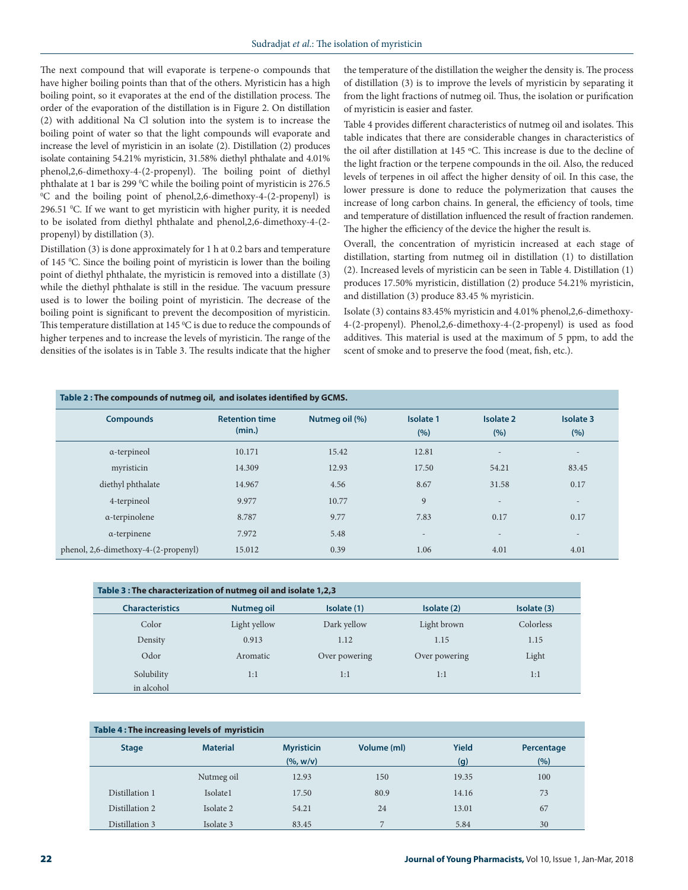The next compound that will evaporate is terpene-o compounds that have higher boiling points than that of the others. Myristicin has a high boiling point, so it evaporates at the end of the distillation process. The order of the evaporation of the distillation is in Figure 2. On distillation (2) with additional Na Cl solution into the system is to increase the boiling point of water so that the light compounds will evaporate and increase the level of myristicin in an isolate (2). Distillation (2) produces isolate containing 54.21% myristicin, 31.58% diethyl phthalate and 4.01% phenol,2,6-dimethoxy-4-(2-propenyl). The boiling point of diethyl phthalate at 1 bar is 299 °C while the boiling point of myristicin is 276.5<br><sup>0</sup>C and the boiling point of phenol 2.6-dimethoxy-4-(2-propenyl) is C and the boiling point of phenol,2,6-dimethoxy-4-(2-propenyl) is 296.51 °C. If we want to get myristicin with higher purity, it is needed to be isolated from diethyl phthalate and phenol,2,6-dimethoxy-4-(2 propenyl) by distillation (3).

Distillation (3) is done approximately for 1 h at 0.2 bars and temperature of 145 0 C. Since the boiling point of myristicin is lower than the boiling point of diethyl phthalate, the myristicin is removed into a distillate (3) while the diethyl phthalate is still in the residue. The vacuum pressure used is to lower the boiling point of myristicin. The decrease of the boiling point is significant to prevent the decomposition of myristicin. This temperature distillation at  $145\,^{\circ}\text{C}$  is due to reduce the compounds of higher terpenes and to increase the levels of myristicin. The range of the densities of the isolates is in Table 3. The results indicate that the higher

**Table 2 : The compounds of nutmeg oil, and isolates identified by GCMS.**

the temperature of the distillation the weigher the density is. The process of distillation (3) is to improve the levels of myristicin by separating it from the light fractions of nutmeg oil. Thus, the isolation or purification of myristicin is easier and faster.

Table 4 provides different characteristics of nutmeg oil and isolates. This table indicates that there are considerable changes in characteristics of the oil after distillation at 145 ºC. This increase is due to the decline of the light fraction or the terpene compounds in the oil. Also, the reduced levels of terpenes in oil affect the higher density of oil. In this case, the lower pressure is done to reduce the polymerization that causes the increase of long carbon chains. In general, the efficiency of tools, time and temperature of distillation influenced the result of fraction randemen. The higher the efficiency of the device the higher the result is.

Overall, the concentration of myristicin increased at each stage of distillation, starting from nutmeg oil in distillation (1) to distillation (2). Increased levels of myristicin can be seen in Table 4. Distillation (1) produces 17.50% myristicin, distillation (2) produce 54.21% myristicin, and distillation (3) produce 83.45 % myristicin.

Isolate (3) contains 83.45% myristicin and 4.01% phenol,2,6-dimethoxy-4-(2-propenyl). Phenol,2,6-dimethoxy-4-(2-propenyl) is used as food additives. This material is used at the maximum of 5 ppm, to add the scent of smoke and to preserve the food (meat, fish, etc.).

| <u>taste = 1 the composition of havineg only and indiated factioned by Genini</u> |                                 |                |                          |                          |                          |
|-----------------------------------------------------------------------------------|---------------------------------|----------------|--------------------------|--------------------------|--------------------------|
| <b>Compounds</b>                                                                  | <b>Retention time</b><br>(min.) | Nutmeg oil (%) | <b>Isolate 1</b><br>(% ) | <b>Isolate 2</b><br>(%)  | <b>Isolate 3</b><br>(%)  |
| a-terpineol                                                                       | 10.171                          | 15.42          | 12.81                    | $\overline{\phantom{a}}$ | $\overline{\phantom{a}}$ |
| myristicin                                                                        | 14.309                          | 12.93          | 17.50                    | 54.21                    | 83.45                    |
| diethyl phthalate                                                                 | 14.967                          | 4.56           | 8.67                     | 31.58                    | 0.17                     |
| 4-terpineol                                                                       | 9.977                           | 10.77          | 9                        | $\overline{\phantom{a}}$ | $\overline{\phantom{a}}$ |
| a-terpinolene                                                                     | 8.787                           | 9.77           | 7.83                     | 0.17                     | 0.17                     |
| a-terpinene                                                                       | 7.972                           | 5.48           | $\overline{\phantom{a}}$ | $\overline{\phantom{a}}$ | $\overline{\phantom{a}}$ |
| phenol, 2,6-dimethoxy-4-(2-propenyl)                                              | 15.012                          | 0.39           | 1.06                     | 4.01                     | 4.01                     |

| Table 3 : The characterization of nutmeg oil and isolate 1,2,3 |                   |               |               |             |  |  |
|----------------------------------------------------------------|-------------------|---------------|---------------|-------------|--|--|
| <b>Characteristics</b>                                         | <b>Nutmeg oil</b> | Isolate (1)   | Isolate (2)   | Isolate (3) |  |  |
| Color                                                          | Light yellow      | Dark yellow   | Light brown   | Colorless   |  |  |
| Density                                                        | 0.913             | 1.12          | 1.15          | 1.15        |  |  |
| Odor                                                           | Aromatic          | Over powering | Over powering | Light       |  |  |
| Solubility                                                     | 1:1               | 1:1           | 1:1           | 1:1         |  |  |
| in alcohol                                                     |                   |               |               |             |  |  |

| Table 4: The increasing levels of myristicin |                                 |                      |                   |                |       |            |
|----------------------------------------------|---------------------------------|----------------------|-------------------|----------------|-------|------------|
|                                              | <b>Material</b><br><b>Stage</b> |                      | <b>Myristicin</b> | Volume (ml)    | Yield | Percentage |
|                                              |                                 |                      | (% , w/v)         |                | (g)   | (%)        |
|                                              |                                 | Nutmeg oil           | 12.93             | 150            | 19.35 | 100        |
|                                              | Distillation 1                  | Isolate <sub>1</sub> | 17.50             | 80.9           | 14.16 | 73         |
|                                              | Distillation 2                  | Isolate 2            | 54.21             | 24             | 13.01 | 67         |
|                                              | Distillation 3                  | Isolate 3            | 83.45             | $\overline{ }$ | 5.84  | 30         |